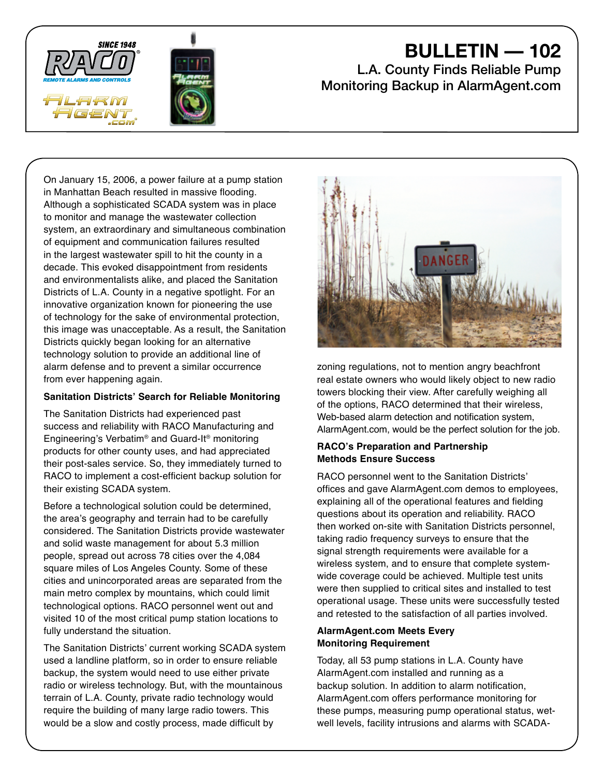



# **BULLETIN — 102**

# L.A. County Finds Reliable Pump Monitoring Backup in AlarmAgent.com

On January 15, 2006, a power failure at a pump station in Manhattan Beach resulted in massive flooding. Although a sophisticated SCADA system was in place to monitor and manage the wastewater collection system, an extraordinary and simultaneous combination of equipment and communication failures resulted in the largest wastewater spill to hit the county in a decade. This evoked disappointment from residents and environmentalists alike, and placed the Sanitation Districts of L.A. County in a negative spotlight. For an innovative organization known for pioneering the use of technology for the sake of environmental protection, this image was unacceptable. As a result, the Sanitation Districts quickly began looking for an alternative technology solution to provide an additional line of alarm defense and to prevent a similar occurrence from ever happening again.

# **Sanitation Districts' Search for Reliable Monitoring**

The Sanitation Districts had experienced past success and reliability with RACO Manufacturing and Engineering's Verbatim® and Guard-It® monitoring products for other county uses, and had appreciated their post-sales service. So, they immediately turned to RACO to implement a cost-efficient backup solution for their existing SCADA system.

Before a technological solution could be determined, the area's geography and terrain had to be carefully considered. The Sanitation Districts provide wastewater and solid waste management for about 5.3 million people, spread out across 78 cities over the 4,084 square miles of Los Angeles County. Some of these cities and unincorporated areas are separated from the main metro complex by mountains, which could limit technological options. RACO personnel went out and visited 10 of the most critical pump station locations to fully understand the situation.

The Sanitation Districts' current working SCADA system used a landline platform, so in order to ensure reliable backup, the system would need to use either private radio or wireless technology. But, with the mountainous terrain of L.A. County, private radio technology would require the building of many large radio towers. This would be a slow and costly process, made difficult by



zoning regulations, not to mention angry beachfront real estate owners who would likely object to new radio towers blocking their view. After carefully weighing all of the options, RACO determined that their wireless, Web-based alarm detection and notification system, AlarmAgent.com, would be the perfect solution for the job.

#### **RACO's Preparation and Partnership Methods Ensure Success**

RACO personnel went to the Sanitation Districts' offices and gave AlarmAgent.com demos to employees, explaining all of the operational features and fielding questions about its operation and reliability. RACO then worked on-site with Sanitation Districts personnel, taking radio frequency surveys to ensure that the signal strength requirements were available for a wireless system, and to ensure that complete systemwide coverage could be achieved. Multiple test units were then supplied to critical sites and installed to test operational usage. These units were successfully tested and retested to the satisfaction of all parties involved.

#### **AlarmAgent.com Meets Every Monitoring Requirement**

Today, all 53 pump stations in L.A. County have AlarmAgent.com installed and running as a backup solution. In addition to alarm notification, AlarmAgent.com offers performance monitoring for these pumps, measuring pump operational status, wetwell levels, facility intrusions and alarms with SCADA-